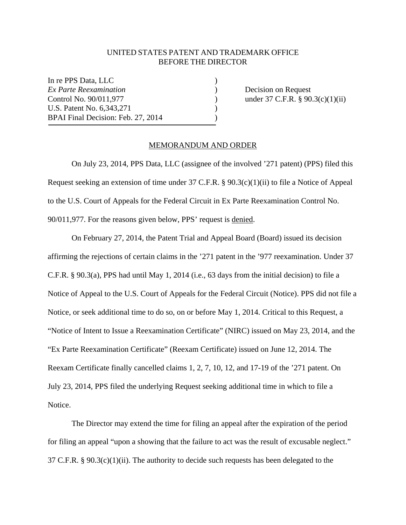## UNITED STATES PATENT AND TRADEMARK OFFICE BEFORE THE DIRECTOR

In re PPS Data, LLC ) *Ex Parte Reexamination* ) Decision on Request Control No. 90/011,977 ) under 37 C.F.R. § 90.3(c)(1)(ii) U.S. Patent No. 6,343,271 ) BPAI Final Decision: Feb. 27, 2014 (1994)

## MEMORANDUM AND ORDER

 On July 23, 2014, PPS Data, LLC (assignee of the involved '271 patent) (PPS) filed this Request seeking an extension of time under 37 C.F.R. § 90.3(c)(1)(ii) to file a Notice of Appeal to the U.S. Court of Appeals for the Federal Circuit in Ex Parte Reexamination Control No. 90/011,977. For the reasons given below, PPS' request is denied.

 On February 27, 2014, the Patent Trial and Appeal Board (Board) issued its decision affirming the rejections of certain claims in the '271 patent in the '977 reexamination. Under 37 C.F.R. § 90.3(a), PPS had until May 1, 2014 (i.e., 63 days from the initial decision) to file a Notice of Appeal to the U.S. Court of Appeals for the Federal Circuit (Notice). PPS did not file a Notice, or seek additional time to do so, on or before May 1, 2014. Critical to this Request, a "Notice of Intent to Issue a Reexamination Certificate" (NIRC) issued on May 23, 2014, and the "Ex Parte Reexamination Certificate" (Reexam Certificate) issued on June 12, 2014. The Reexam Certificate finally cancelled claims 1, 2, 7, 10, 12, and 17-19 of the '271 patent. On July 23, 2014, PPS filed the underlying Request seeking additional time in which to file a Notice.

The Director may extend the time for filing an appeal after the expiration of the period for filing an appeal "upon a showing that the failure to act was the result of excusable neglect." 37 C.F.R.  $\S 90.3(c)(1)(ii)$ . The authority to decide such requests has been delegated to the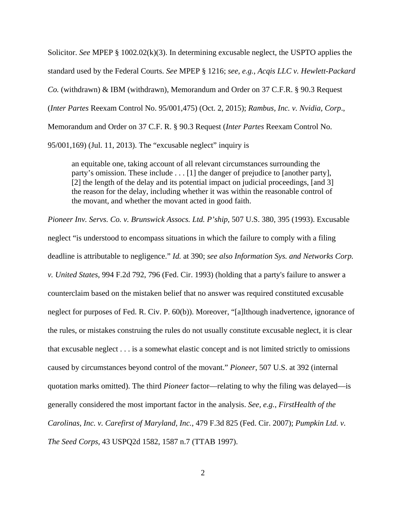Solicitor. *See* MPEP § 1002.02(k)(3). In determining excusable neglect, the USPTO applies the standard used by the Federal Courts. *See* MPEP § 1216; *see, e.g.*, *Acqis LLC v. Hewlett-Packard Co.* (withdrawn) & IBM (withdrawn), Memorandum and Order on 37 C.F.R. § 90.3 Request (*Inter Partes* Reexam Control No. 95/001,475) (Oct. 2, 2015); *Rambus, Inc. v. Nvidia, Corp*., Memorandum and Order on 37 C.F. R. § 90.3 Request (*Inter Partes* Reexam Control No. 95/001,169) (Jul. 11, 2013). The "excusable neglect" inquiry is

an equitable one, taking account of all relevant circumstances surrounding the party's omission. These include . . . [1] the danger of prejudice to [another party], [2] the length of the delay and its potential impact on judicial proceedings, [and 3] the reason for the delay, including whether it was within the reasonable control of the movant, and whether the movant acted in good faith.

*Pioneer Inv. Servs. Co. v. Brunswick Assocs. Ltd. P'ship*, 507 U.S. 380, 395 (1993). Excusable neglect "is understood to encompass situations in which the failure to comply with a filing deadline is attributable to negligence." *Id.* at 390; *see also Information Sys. and Networks Corp. v. United States*, 994 F.2d 792, 796 (Fed. Cir. 1993) (holding that a party's failure to answer a counterclaim based on the mistaken belief that no answer was required constituted excusable neglect for purposes of Fed. R. Civ. P. 60(b)). Moreover, "[a]lthough inadvertence, ignorance of the rules, or mistakes construing the rules do not usually constitute excusable neglect, it is clear that excusable neglect . . . is a somewhat elastic concept and is not limited strictly to omissions caused by circumstances beyond control of the movant." *Pioneer*, 507 U.S. at 392 (internal quotation marks omitted). The third *Pioneer* factor—relating to why the filing was delayed—is generally considered the most important factor in the analysis. *See, e.g.*, *FirstHealth of the Carolinas, Inc. v. Carefirst of Maryland, Inc.*, 479 F.3d 825 (Fed. Cir. 2007); *Pumpkin Ltd. v. The Seed Corps*, 43 USPQ2d 1582, 1587 n.7 (TTAB 1997).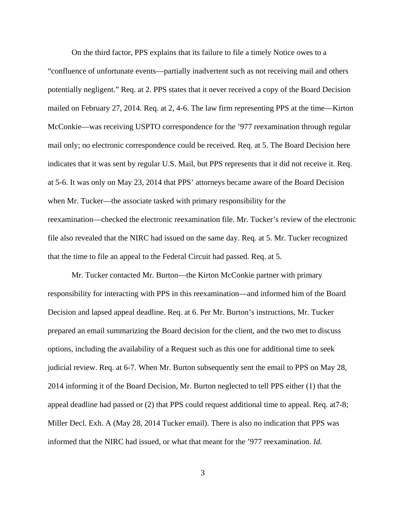On the third factor, PPS explains that its failure to file a timely Notice owes to a "confluence of unfortunate events—partially inadvertent such as not receiving mail and others potentially negligent." Req. at 2. PPS states that it never received a copy of the Board Decision mailed on February 27, 2014. Req. at 2, 4-6. The law firm representing PPS at the time—Kirton McConkie—was receiving USPTO correspondence for the '977 reexamination through regular mail only; no electronic correspondence could be received. Req. at 5. The Board Decision here indicates that it was sent by regular U.S. Mail, but PPS represents that it did not receive it. Req. at 5-6. It was only on May 23, 2014 that PPS' attorneys became aware of the Board Decision when Mr. Tucker—the associate tasked with primary responsibility for the reexamination—checked the electronic reexamination file. Mr. Tucker's review of the electronic file also revealed that the NIRC had issued on the same day. Req. at 5. Mr. Tucker recognized that the time to file an appeal to the Federal Circuit had passed. Req. at 5.

Mr. Tucker contacted Mr. Burton—the Kirton McConkie partner with primary responsibility for interacting with PPS in this reexamination—and informed him of the Board Decision and lapsed appeal deadline. Req. at 6. Per Mr. Burton's instructions, Mr. Tucker prepared an email summarizing the Board decision for the client, and the two met to discuss options, including the availability of a Request such as this one for additional time to seek judicial review. Req. at 6-7. When Mr. Burton subsequently sent the email to PPS on May 28, 2014 informing it of the Board Decision, Mr. Burton neglected to tell PPS either (1) that the appeal deadline had passed or (2) that PPS could request additional time to appeal. Req. at7-8; Miller Decl. Exh. A (May 28, 2014 Tucker email). There is also no indication that PPS was informed that the NIRC had issued, or what that meant for the '977 reexamination. *Id.*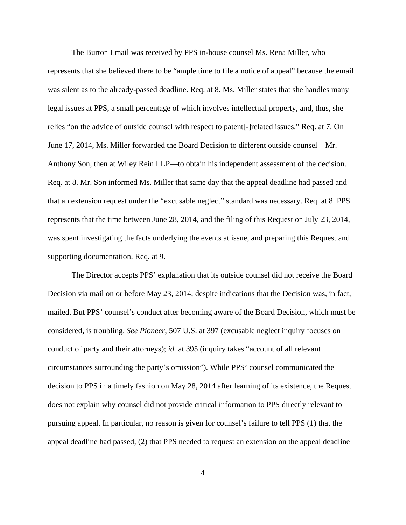The Burton Email was received by PPS in-house counsel Ms. Rena Miller, who represents that she believed there to be "ample time to file a notice of appeal" because the email was silent as to the already-passed deadline. Req. at 8. Ms. Miller states that she handles many legal issues at PPS, a small percentage of which involves intellectual property, and, thus, she relies "on the advice of outside counsel with respect to patent[-]related issues." Req. at 7. On June 17, 2014, Ms. Miller forwarded the Board Decision to different outside counsel—Mr. Anthony Son, then at Wiley Rein LLP—to obtain his independent assessment of the decision. Req. at 8. Mr. Son informed Ms. Miller that same day that the appeal deadline had passed and that an extension request under the "excusable neglect" standard was necessary. Req. at 8. PPS represents that the time between June 28, 2014, and the filing of this Request on July 23, 2014, was spent investigating the facts underlying the events at issue, and preparing this Request and supporting documentation. Req. at 9.

The Director accepts PPS' explanation that its outside counsel did not receive the Board Decision via mail on or before May 23, 2014, despite indications that the Decision was, in fact, mailed. But PPS' counsel's conduct after becoming aware of the Board Decision, which must be considered, is troubling. *See Pioneer*, 507 U.S. at 397 (excusable neglect inquiry focuses on conduct of party and their attorneys); *id.* at 395 (inquiry takes "account of all relevant circumstances surrounding the party's omission"). While PPS' counsel communicated the decision to PPS in a timely fashion on May 28, 2014 after learning of its existence, the Request does not explain why counsel did not provide critical information to PPS directly relevant to pursuing appeal. In particular, no reason is given for counsel's failure to tell PPS (1) that the appeal deadline had passed, (2) that PPS needed to request an extension on the appeal deadline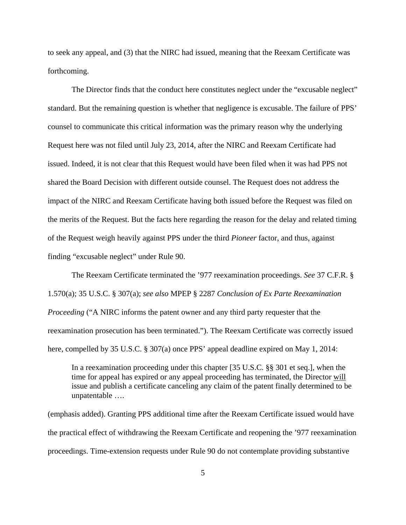to seek any appeal, and (3) that the NIRC had issued, meaning that the Reexam Certificate was forthcoming.

The Director finds that the conduct here constitutes neglect under the "excusable neglect" standard. But the remaining question is whether that negligence is excusable. The failure of PPS' counsel to communicate this critical information was the primary reason why the underlying Request here was not filed until July 23, 2014, after the NIRC and Reexam Certificate had issued. Indeed, it is not clear that this Request would have been filed when it was had PPS not shared the Board Decision with different outside counsel. The Request does not address the impact of the NIRC and Reexam Certificate having both issued before the Request was filed on the merits of the Request. But the facts here regarding the reason for the delay and related timing of the Request weigh heavily against PPS under the third *Pioneer* factor, and thus, against finding "excusable neglect" under Rule 90.

The Reexam Certificate terminated the '977 reexamination proceedings. *See* 37 C.F.R. § 1.570(a); 35 U.S.C. § 307(a); *see also* MPEP § 2287 *Conclusion of Ex Parte Reexamination Proceeding* ("A NIRC informs the patent owner and any third party requester that the reexamination prosecution has been terminated."). The Reexam Certificate was correctly issued here, compelled by 35 U.S.C. § 307(a) once PPS' appeal deadline expired on May 1, 2014:

In a reexamination proceeding under this chapter [35 U.S.C. §§ 301 et seq.], when the time for appeal has expired or any appeal proceeding has terminated, the Director will issue and publish a certificate canceling any claim of the patent finally determined to be unpatentable ….

(emphasis added). Granting PPS additional time after the Reexam Certificate issued would have the practical effect of withdrawing the Reexam Certificate and reopening the '977 reexamination proceedings. Time-extension requests under Rule 90 do not contemplate providing substantive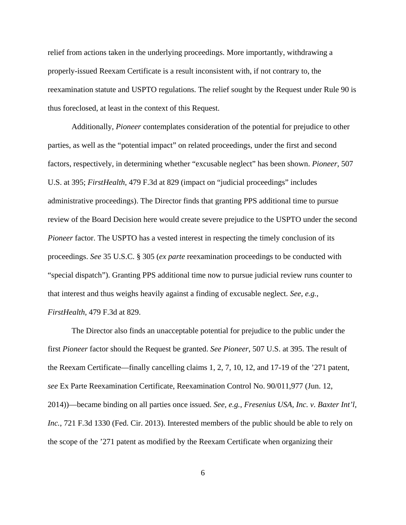relief from actions taken in the underlying proceedings. More importantly, withdrawing a properly-issued Reexam Certificate is a result inconsistent with, if not contrary to, the reexamination statute and USPTO regulations. The relief sought by the Request under Rule 90 is thus foreclosed, at least in the context of this Request.

Additionally, *Pioneer* contemplates consideration of the potential for prejudice to other parties, as well as the "potential impact" on related proceedings, under the first and second factors, respectively, in determining whether "excusable neglect" has been shown. *Pioneer*, 507 U.S. at 395; *FirstHealth*, 479 F.3d at 829 (impact on "judicial proceedings" includes administrative proceedings). The Director finds that granting PPS additional time to pursue review of the Board Decision here would create severe prejudice to the USPTO under the second *Pioneer* factor. The USPTO has a vested interest in respecting the timely conclusion of its proceedings. *See* 35 U.S.C. § 305 (*ex parte* reexamination proceedings to be conducted with "special dispatch"). Granting PPS additional time now to pursue judicial review runs counter to that interest and thus weighs heavily against a finding of excusable neglect. *See, e.g.*, *FirstHealth*, 479 F.3d at 829.

The Director also finds an unacceptable potential for prejudice to the public under the first *Pioneer* factor should the Request be granted. *See Pioneer*, 507 U.S. at 395. The result of the Reexam Certificate—finally cancelling claims 1, 2, 7, 10, 12, and 17-19 of the '271 patent, *see* Ex Parte Reexamination Certificate, Reexamination Control No. 90/011,977 (Jun. 12, 2014))—became binding on all parties once issued. *See, e.g.*, *Fresenius USA, Inc. v. Baxter Int'l, Inc.*, 721 F.3d 1330 (Fed. Cir. 2013). Interested members of the public should be able to rely on the scope of the '271 patent as modified by the Reexam Certificate when organizing their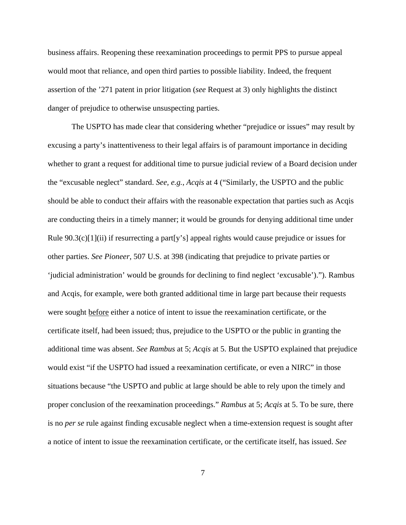business affairs. Reopening these reexamination proceedings to permit PPS to pursue appeal would moot that reliance, and open third parties to possible liability. Indeed, the frequent assertion of the '271 patent in prior litigation (*see* Request at 3) only highlights the distinct danger of prejudice to otherwise unsuspecting parties.

The USPTO has made clear that considering whether "prejudice or issues" may result by excusing a party's inattentiveness to their legal affairs is of paramount importance in deciding whether to grant a request for additional time to pursue judicial review of a Board decision under the "excusable neglect" standard. *See, e.g.*, *Acqis* at 4 ("Similarly, the USPTO and the public should be able to conduct their affairs with the reasonable expectation that parties such as Acqis are conducting theirs in a timely manner; it would be grounds for denying additional time under Rule 90.3(c)[1](ii) if resurrecting a part[y's] appeal rights would cause prejudice or issues for other parties. *See Pioneer*, 507 U.S. at 398 (indicating that prejudice to private parties or 'judicial administration' would be grounds for declining to find neglect 'excusable')."). Rambus and Acqis, for example, were both granted additional time in large part because their requests were sought before either a notice of intent to issue the reexamination certificate, or the certificate itself, had been issued; thus, prejudice to the USPTO or the public in granting the additional time was absent. *See Rambus* at 5; *Acqis* at 5. But the USPTO explained that prejudice would exist "if the USPTO had issued a reexamination certificate, or even a NIRC" in those situations because "the USPTO and public at large should be able to rely upon the timely and proper conclusion of the reexamination proceedings." *Rambus* at 5; *Acqis* at 5. To be sure, there is no *per se* rule against finding excusable neglect when a time-extension request is sought after a notice of intent to issue the reexamination certificate, or the certificate itself, has issued. *See*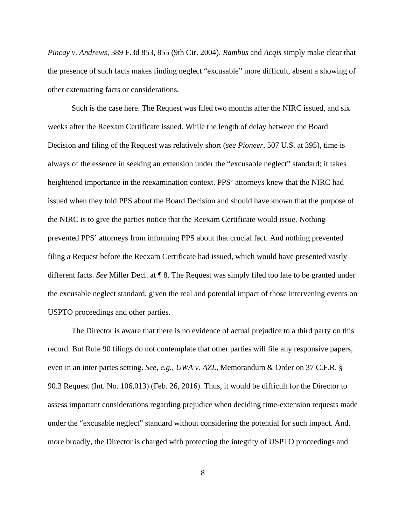*Pincay v. Andrews*, 389 F.3d 853, 855 (9th Cir. 2004). *Rambus* and *Acqis* simply make clear that the presence of such facts makes finding neglect "excusable" more difficult, absent a showing of other extenuating facts or considerations.

Such is the case here. The Request was filed two months after the NIRC issued, and six weeks after the Reexam Certificate issued. While the length of delay between the Board Decision and filing of the Request was relatively short (*see Pioneer*, 507 U.S. at 395), time is always of the essence in seeking an extension under the "excusable neglect" standard; it takes heightened importance in the reexamination context. PPS' attorneys knew that the NIRC had issued when they told PPS about the Board Decision and should have known that the purpose of the NIRC is to give the parties notice that the Reexam Certificate would issue. Nothing prevented PPS' attorneys from informing PPS about that crucial fact. And nothing prevented filing a Request before the Reexam Certificate had issued, which would have presented vastly different facts. *See* Miller Decl. at ¶ 8. The Request was simply filed too late to be granted under the excusable neglect standard, given the real and potential impact of those intervening events on USPTO proceedings and other parties.

The Director is aware that there is no evidence of actual prejudice to a third party on this record. But Rule 90 filings do not contemplate that other parties will file any responsive papers, even in an inter partes setting. *See, e.g.*, *UWA v. AZL*, Memorandum & Order on 37 C.F.R. § 90.3 Request (Int. No. 106,013) (Feb. 26, 2016). Thus, it would be difficult for the Director to assess important considerations regarding prejudice when deciding time-extension requests made under the "excusable neglect" standard without considering the potential for such impact. And, more broadly, the Director is charged with protecting the integrity of USPTO proceedings and

8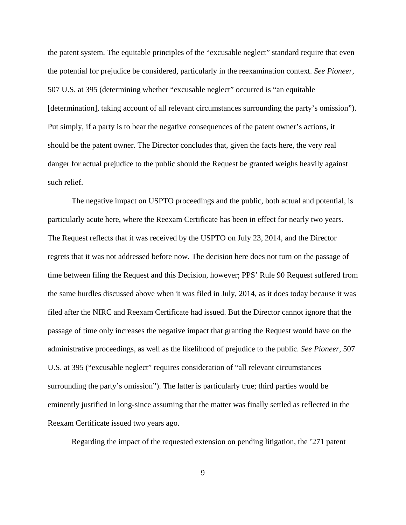the patent system. The equitable principles of the "excusable neglect" standard require that even the potential for prejudice be considered, particularly in the reexamination context. *See Pioneer*, 507 U.S. at 395 (determining whether "excusable neglect" occurred is "an equitable [determination], taking account of all relevant circumstances surrounding the party's omission"). Put simply, if a party is to bear the negative consequences of the patent owner's actions, it should be the patent owner. The Director concludes that, given the facts here, the very real danger for actual prejudice to the public should the Request be granted weighs heavily against such relief.

The negative impact on USPTO proceedings and the public, both actual and potential, is particularly acute here, where the Reexam Certificate has been in effect for nearly two years. The Request reflects that it was received by the USPTO on July 23, 2014, and the Director regrets that it was not addressed before now. The decision here does not turn on the passage of time between filing the Request and this Decision, however; PPS' Rule 90 Request suffered from the same hurdles discussed above when it was filed in July, 2014, as it does today because it was filed after the NIRC and Reexam Certificate had issued. But the Director cannot ignore that the passage of time only increases the negative impact that granting the Request would have on the administrative proceedings, as well as the likelihood of prejudice to the public. *See Pioneer*, 507 U.S. at 395 ("excusable neglect" requires consideration of "all relevant circumstances surrounding the party's omission"). The latter is particularly true; third parties would be eminently justified in long-since assuming that the matter was finally settled as reflected in the Reexam Certificate issued two years ago.

Regarding the impact of the requested extension on pending litigation, the '271 patent

9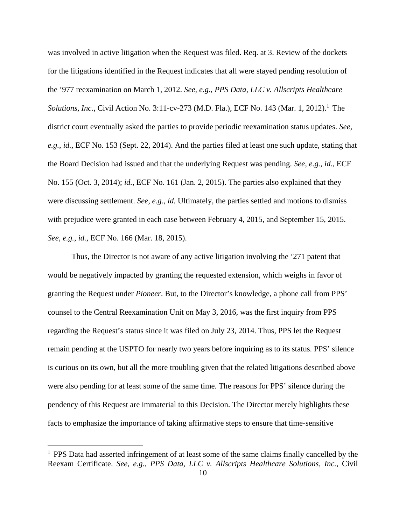was involved in active litigation when the Request was filed. Req. at 3. Review of the dockets for the litigations identified in the Request indicates that all were stayed pending resolution of the '977 reexamination on March 1, 2012. *See, e.g.*, *PPS Data, LLC v. Allscripts Healthcare*  Solutions, Inc., Civil Action No. 3:11-cv-273 (M.D. Fla.), ECF No. 143 (Mar. 1, 2012).<sup>1</sup> The district court eventually asked the parties to provide periodic reexamination status updates. *See, e.g.*, *id.*, ECF No. 153 (Sept. 22, 2014). And the parties filed at least one such update, stating that the Board Decision had issued and that the underlying Request was pending. *See, e.g.*, *id.*, ECF No. 155 (Oct. 3, 2014); *id.*, ECF No. 161 (Jan. 2, 2015). The parties also explained that they were discussing settlement. *See, e.g.*, *id.* Ultimately, the parties settled and motions to dismiss with prejudice were granted in each case between February 4, 2015, and September 15, 2015. *See, e.g.*, *id.*, ECF No. 166 (Mar. 18, 2015).

Thus, the Director is not aware of any active litigation involving the '271 patent that would be negatively impacted by granting the requested extension, which weighs in favor of granting the Request under *Pioneer*. But, to the Director's knowledge, a phone call from PPS' counsel to the Central Reexamination Unit on May 3, 2016, was the first inquiry from PPS regarding the Request's status since it was filed on July 23, 2014. Thus, PPS let the Request remain pending at the USPTO for nearly two years before inquiring as to its status. PPS' silence is curious on its own, but all the more troubling given that the related litigations described above were also pending for at least some of the same time. The reasons for PPS' silence during the pendency of this Request are immaterial to this Decision. The Director merely highlights these facts to emphasize the importance of taking affirmative steps to ensure that time-sensitive

<u>.</u>

<sup>&</sup>lt;sup>1</sup> PPS Data had asserted infringement of at least some of the same claims finally cancelled by the Reexam Certificate. *See, e.g.*, *PPS Data, LLC v. Allscripts Healthcare Solutions, Inc.*, Civil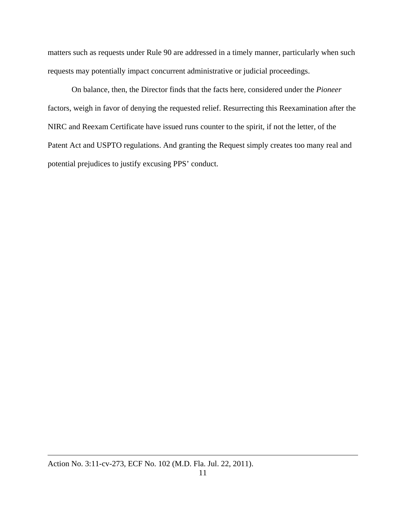matters such as requests under Rule 90 are addressed in a timely manner, particularly when such requests may potentially impact concurrent administrative or judicial proceedings.

 On balance, then, the Director finds that the facts here, considered under the *Pioneer* factors, weigh in favor of denying the requested relief. Resurrecting this Reexamination after the NIRC and Reexam Certificate have issued runs counter to the spirit, if not the letter, of the Patent Act and USPTO regulations. And granting the Request simply creates too many real and potential prejudices to justify excusing PPS' conduct.

 $\overline{a}$